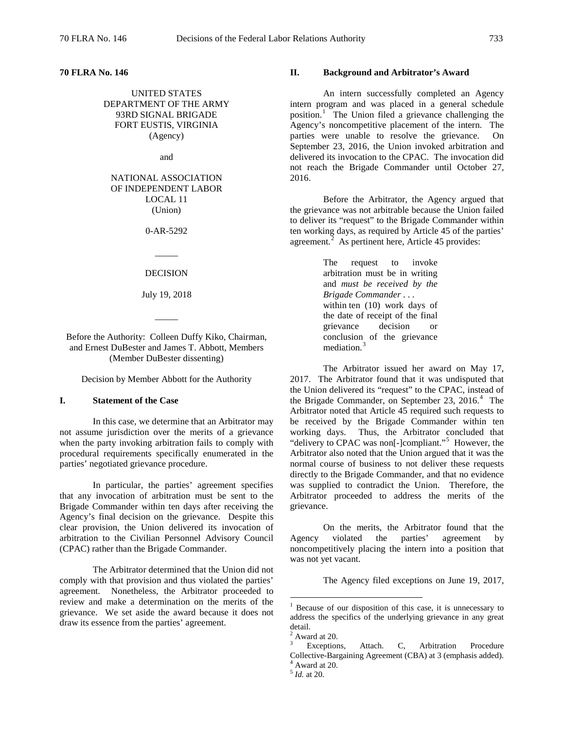**70 FLRA No. 146**

UNITED STATES DEPARTMENT OF THE ARMY 93RD SIGNAL BRIGADE FORT EUSTIS, VIRGINIA (Agency)

and

## NATIONAL ASSOCIATION OF INDEPENDENT LABOR LOCAL 11 (Union)

0-AR-5292

#### DECISION

 $\overline{\phantom{a}}$ 

July 19, 2018

 $\overline{\phantom{a}}$ 

Before the Authority: Colleen Duffy Kiko, Chairman, and Ernest DuBester and James T. Abbott, Members (Member DuBester dissenting)

Decision by Member Abbott for the Authority

# **I. Statement of the Case**

In this case, we determine that an Arbitrator may not assume jurisdiction over the merits of a grievance when the party invoking arbitration fails to comply with procedural requirements specifically enumerated in the parties' negotiated grievance procedure.

In particular, the parties' agreement specifies that any invocation of arbitration must be sent to the Brigade Commander within ten days after receiving the Agency's final decision on the grievance. Despite this clear provision, the Union delivered its invocation of arbitration to the Civilian Personnel Advisory Council (CPAC) rather than the Brigade Commander.

<span id="page-0-4"></span><span id="page-0-3"></span><span id="page-0-2"></span><span id="page-0-1"></span><span id="page-0-0"></span>The Arbitrator determined that the Union did not comply with that provision and thus violated the parties' agreement. Nonetheless, the Arbitrator proceeded to review and make a determination on the merits of the grievance. We set aside the award because it does not draw its essence from the parties' agreement.

#### **II. Background and Arbitrator's Award**

An intern successfully completed an Agency intern program and was placed in a general schedule position.<sup>[1](#page-0-0)</sup> The Union filed a grievance challenging the Agency's noncompetitive placement of the intern. The parties were unable to resolve the grievance. On September 23, 2016, the Union invoked arbitration and delivered its invocation to the CPAC. The invocation did not reach the Brigade Commander until October 27, 2016.

Before the Arbitrator, the Agency argued that the grievance was not arbitrable because the Union failed to deliver its "request" to the Brigade Commander within ten working days, as required by Article 45 of the parties' agreement. $2$  As pertinent here, Article 45 provides:

> The request to invoke arbitration must be in writing and *must be received by the Brigade Commander* . . . within ten (10) work days of the date of receipt of the final grievance decision or conclusion of the grievance mediation.<sup>[3](#page-0-2)</sup>

The Arbitrator issued her award on May 17, 2017. The Arbitrator found that it was undisputed that the Union delivered its "request" to the CPAC, instead of the Brigade Commander, on September 23, 2016.<sup>[4](#page-0-3)</sup> The Arbitrator noted that Article 45 required such requests to be received by the Brigade Commander within ten working days. Thus, the Arbitrator concluded that "delivery to CPAC was non[-]compliant."<sup>[5](#page-0-4)</sup> However, the Arbitrator also noted that the Union argued that it was the normal course of business to not deliver these requests directly to the Brigade Commander, and that no evidence was supplied to contradict the Union. Therefore, the Arbitrator proceeded to address the merits of the grievance.

On the merits, the Arbitrator found that the Agency violated the parties' agreement by noncompetitively placing the intern into a position that was not yet vacant.

The Agency filed exceptions on June 19, 2017,

 $1$  Because of our disposition of this case, it is unnecessary to address the specifics of the underlying grievance in any great detail.

 $2$  Award at 20.

Exceptions, Attach. C, Arbitration Procedure Collective-Bargaining Agreement (CBA) at 3 (emphasis added). <sup>4</sup> Award at 20.

<sup>5</sup> *Id.* at 20.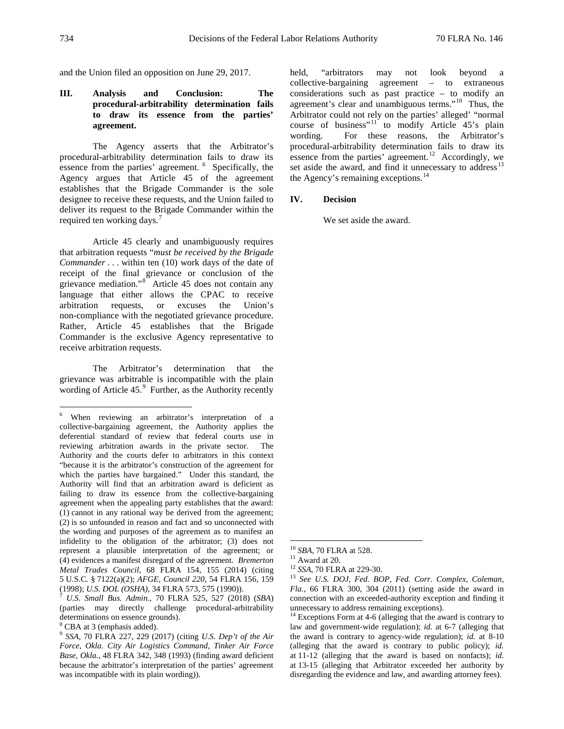and the Union filed an opposition on June 29, 2017.

## **III. Analysis and Conclusion: The procedural-arbitrability determination fails to draw its essence from the parties' agreement.**

The Agency asserts that the Arbitrator's procedural-arbitrability determination fails to draw its essence from the parties' agreement. <sup>[6](#page-1-0)</sup> Specifically, the Agency argues that Article 45 of the agreement establishes that the Brigade Commander is the sole designee to receive these requests, and the Union failed to deliver its request to the Brigade Commander within the required ten working days.<sup>[7](#page-1-1)</sup>

Article 45 clearly and unambiguously requires that arbitration requests "*must be received by the Brigade Commander* . . . within ten (10) work days of the date of receipt of the final grievance or conclusion of the grievance mediation."<sup>[8](#page-1-2)</sup> Article 45 does not contain any language that either allows the CPAC to receive arbitration requests, or excuses the Union's non-compliance with the negotiated grievance procedure. Rather, Article 45 establishes that the Brigade Commander is the exclusive Agency representative to receive arbitration requests.

The Arbitrator's determination that the grievance was arbitrable is incompatible with the plain wording of Article 45.<sup>[9](#page-1-3)</sup> Further, as the Authority recently held, "arbitrators may not look beyond collective-bargaining agreement – to extraneous considerations such as past practice – to modify an agreement's clear and unambiguous terms."[10](#page-1-4) Thus, the Arbitrator could not rely on the parties' alleged' "normal course of business"<sup>[11](#page-1-5)</sup> to modify Article  $45$ 's plain wording. For these reasons, the Arbitrator's procedural-arbitrability determination fails to draw its essence from the parties' agreement.<sup>[12](#page-1-6)</sup> Accordingly, we set aside the award, and find it unnecessary to address<sup>[13](#page-1-7)</sup> the Agency's remaining exceptions. $^{14}$  $^{14}$  $^{14}$ 

#### **IV. Decision**

We set aside the award.

<span id="page-1-0"></span> <sup>6</sup> When reviewing an arbitrator's interpretation of a collective-bargaining agreement, the Authority applies the deferential standard of review that federal courts use in reviewing arbitration awards in the private sector. The Authority and the courts defer to arbitrators in this context "because it is the arbitrator's construction of the agreement for which the parties have bargained." Under this standard, the Authority will find that an arbitration award is deficient as failing to draw its essence from the collective-bargaining agreement when the appealing party establishes that the award: (1) cannot in any rational way be derived from the agreement; (2) is so unfounded in reason and fact and so unconnected with the wording and purposes of the agreement as to manifest an infidelity to the obligation of the arbitrator; (3) does not represent a plausible interpretation of the agreement; or (4) evidences a manifest disregard of the agreement. *Bremerton Metal Trades Council*, 68 FLRA 154, 155 (2014) (citing 5 U.S.C. § 7122(a)(2); *AFGE, Council 220*, 54 FLRA 156, 159

<span id="page-1-7"></span><span id="page-1-6"></span><span id="page-1-5"></span><span id="page-1-4"></span><span id="page-1-1"></span><sup>(1998);</sup> *U.S. DOL (OSHA)*, 34 FLRA 573, 575 (1990)). <sup>7</sup> *U.S. Small Bus. Admin.*, 70 FLRA 525, 527 (2018) (*SBA*) (parties may directly challenge procedural-arbitrability determinations on essence grounds).

<span id="page-1-8"></span><span id="page-1-2"></span><sup>&</sup>lt;sup>8</sup> CBA at 3 (emphasis added).

<span id="page-1-3"></span><sup>9</sup> *SSA*, 70 FLRA 227, 229 (2017) (citing *U.S. Dep't of the Air Force, Okla. City Air Logistics Command, Tinker Air Force Base, Okla.*, 48 FLRA 342, 348 (1993) (finding award deficient because the arbitrator's interpretation of the parties' agreement was incompatible with its plain wording)).

<sup>&</sup>lt;sup>10</sup> *SBA*, 70 FLRA at 528.<br><sup>11</sup> Award at 20.<br><sup>12</sup> *SSA*, 70 FLRA at 229-30.<br><sup>13</sup> *See U.S. DOJ, Fed. BOP, Fed. Corr. Complex, Coleman, Fla.*, 66 FLRA 300, 304 (2011) (setting aside the award in connection with an exceeded-authority exception and finding it unnecessary to address remaining exceptions).

<sup>&</sup>lt;sup>14</sup> Exceptions Form at 4-6 (alleging that the award is contrary to law and government-wide regulation); *id.* at 6-7 (alleging that the award is contrary to agency-wide regulation); *id.* at 8-10 (alleging that the award is contrary to public policy); *id.* at 11-12 (alleging that the award is based on nonfacts); *id.* at 13-15 (alleging that Arbitrator exceeded her authority by disregarding the evidence and law, and awarding attorney fees).